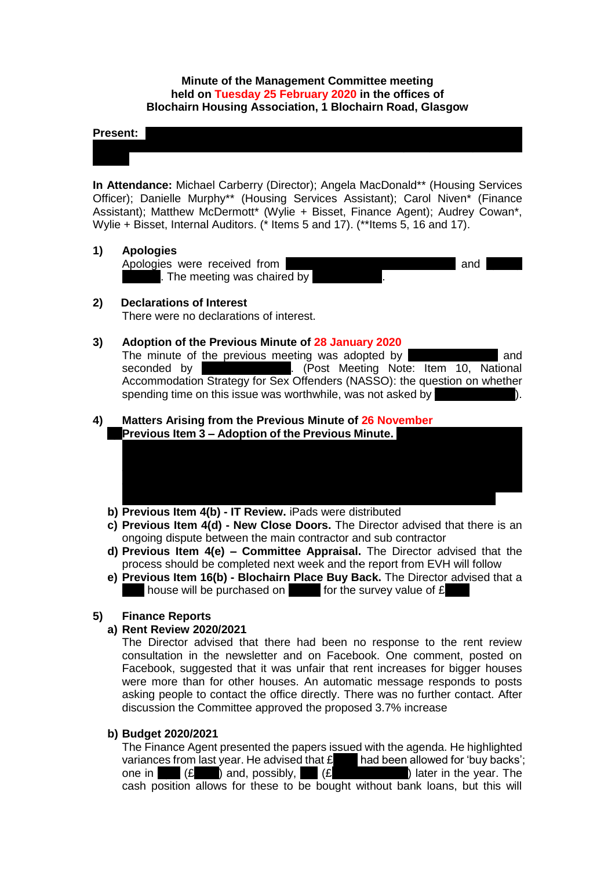## **Minute of the Management Committee meeting held on Tuesday 25 February 2020 in the offices of Blochairn Housing Association, 1 Blochairn Road, Glasgow**

Murray-Moore; Catherine Neil; Joan Reuston; Frances Tierney; Olga Vassiljeva; Ewa

#### **Present:** Denise Doherty; Andy Duffus; Michelli; Rose McLeish; Michelli; Rose McLeish; Michelleish; Michelleish; Michelleish; Michelleish; Michelleish; Michelleish; Michelleish; Michelleish; Michelleish; Michelleish; Mich

**In Attendance:** Michael Carberry (Director); Angela MacDonald\*\* (Housing Services Officer); Danielle Murphy\*\* (Housing Services Assistant); Carol Niven\* (Finance Assistant); Matthew McDermott\* (Wylie + Bisset, Finance Agent); Audrey Cowan\*, Wylie + Bisset, Internal Auditors. (\* Items 5 and 17). (\*\*Items 5, 16 and 17).

#### **1) Apologies**

| Apologies were received from | and |  |
|------------------------------|-----|--|
|                              |     |  |
| The meeting was chaired by   |     |  |

#### **2) Declarations of Interest**

There were no declarations of interest.

#### **3) Adoption of the Previous Minute of 28 January 2020**

The minute of the previous meeting was adopted by **France I** and seconded by **Olga Vassilieva**. (Post Meeting Note: Item 10, National Accommodation Strategy for Sex Offenders (NASSO): the question on whether spending time on this issue was worthwhile, was not asked by

he had discussed this with the Chairperson. The Director had amended the minute because it did not record that he had left the meeting and did not record that the Committee was informed of a Notifiable Event. The minute also referred to the Scottish Housing Regulator's guidance. The Director will now meet the

#### **4) Matters Arising from the Previous Minute of 26 November Previous Item 3 - Adoption of the Previous Minute.**

- **b) Previous Item 4(b) - IT Review.** iPads were distributed
- **c) Previous Item 4(d) - New Close Doors.** The Director advised that there is an ongoing dispute between the main contractor and sub contractor
- **d) Previous Item 4(e) – Committee Appraisal.** The Director advised that the process should be completed next week and the report from EVH will follow
- **e) Previous Item 16(b) - Blochairn Place Buy Back.** The Director advised that a house will be purchased on  $\blacksquare$  for the survey value of  $\pounds$

## **5) Finance Reports**

#### **a) Rent Review 2020/2021**

The Director advised that there had been no response to the rent review consultation in the newsletter and on Facebook. One comment, posted on Facebook, suggested that it was unfair that rent increases for bigger houses were more than for other houses. An automatic message responds to posts asking people to contact the office directly. There was no further contact. After discussion the Committee approved the proposed 3.7% increase

### **b) Budget 2020/2021**

The Finance Agent presented the papers issued with the agenda. He highlighted The Finance Agent presented the papels issued that  $\frac{28}{80}$  had been allowed for 'buy backs'; one in  $\begin{bmatrix} f \end{bmatrix}$  (£115k) and, possibly,  $\begin{bmatrix} f \end{bmatrix}$  (£105k and  $\begin{bmatrix} f \end{bmatrix}$  and  $\begin{bmatrix} f \end{bmatrix}$  and  $\begin{bmatrix} f \end{bmatrix}$  and  $\begin{bmatrix} f \end{bmatrix}$  and  $\begin{bmatrix} f \end{bmatrix}$  and  $\begin{bmatrix} f \end{bmatrix}$  and  $\begin{bmatrix} f \end{bmatrix}$  and  $\begin{bmatrix} f$ cash position allows for these to be bought without bank loans, but this will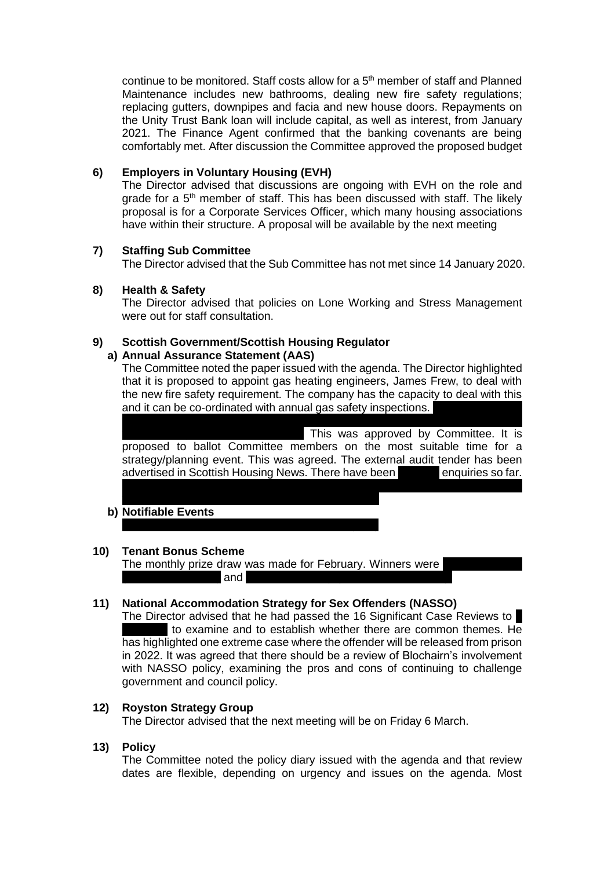continue to be monitored. Staff costs allow for a  $5<sup>th</sup>$  member of staff and Planned Maintenance includes new bathrooms, dealing new fire safety regulations; replacing gutters, downpipes and facia and new house doors. Repayments on the Unity Trust Bank loan will include capital, as well as interest, from January 2021. The Finance Agent confirmed that the banking covenants are being comfortably met. After discussion the Committee approved the proposed budget

# **6) Employers in Voluntary Housing (EVH)**

The Director advised that discussions are ongoing with EVH on the role and grade for a  $5<sup>th</sup>$  member of staff. This has been discussed with staff. The likely proposal is for a Corporate Services Officer, which many housing associations have within their structure. A proposal will be available by the next meeting

## **7) Staffing Sub Committee**

The Director advised that the Sub Committee has not met since 14 January 2020.

# **8) Health & Safety**

The Director advised that policies on Lone Working and Stress Management were out for staff consultation.

# **9) Scottish Government/Scottish Housing Regulator**

## **a) Annual Assurance Statement (AAS)**

The Committee noted the paper issued with the agenda. The Director highlighted that it is proposed to appoint gas heating engineers, James Frew, to deal with the new fire safety requirement. The company has the capacity to deal with this and it can be co-ordinated with annual gas safety inspections.

successful in tendering for Copperworks and Spire View work and Blochairn can This was approved by Committee. It is proposed to ballot Committee members on the most suitable time for a strategy/planning event. This was agreed. The external audit tender has been advertised in Scottish Housing News. There have been **nonly enquiries so far.** In answer to the question: what if only the existing auditor tenders for the work?

## **b) Notifiable Events**

## **10) Tenant Bonus Scheme**

The monthly prize draw was made for February. Winners were  $\Box$ Cloverbank Street) and Patricia Sweeney (Patricia Sweeney (Cloverbank Gardens).

# **11) National Accommodation Strategy for Sex Offenders (NASSO)**

The Director advised that he had passed the 16 Significant Case Reviews to to examine and to establish whether there are common themes. He has highlighted one extreme case where the offender will be released from prison in 2022. It was agreed that there should be a review of Blochairn's involvement with NASSO policy, examining the pros and cons of continuing to challenge government and council policy.

## **12) Royston Strategy Group**

The Director advised that the next meeting will be on Friday 6 March.

## **13) Policy**

The Committee noted the policy diary issued with the agenda and that review dates are flexible, depending on urgency and issues on the agenda. Most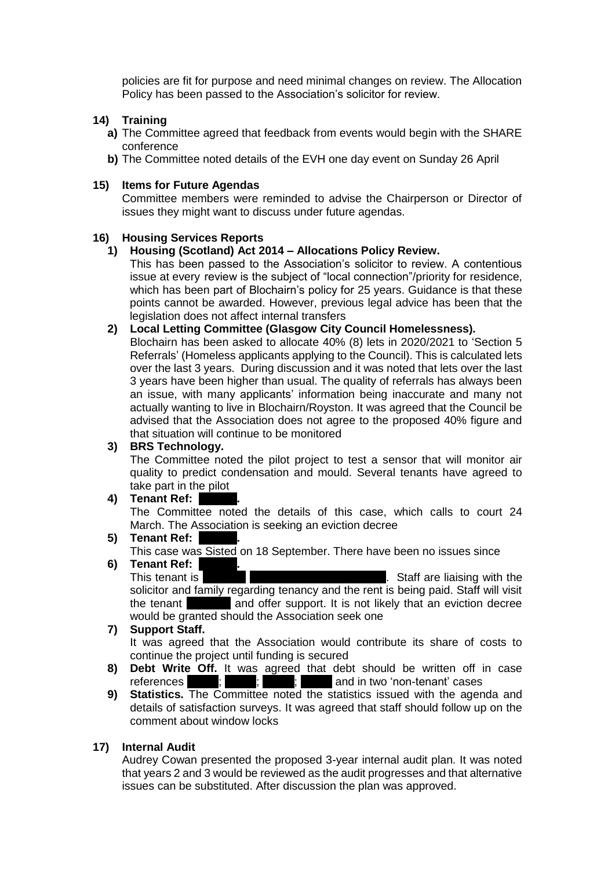policies are fit for purpose and need minimal changes on review. The Allocation Policy has been passed to the Association's solicitor for review.

## **14) Training**

- **a)** The Committee agreed that feedback from events would begin with the SHARE conference
- **b)** The Committee noted details of the EVH one day event on Sunday 26 April

#### **15) Items for Future Agendas**

Committee members were reminded to advise the Chairperson or Director of issues they might want to discuss under future agendas.

### **16) Housing Services Reports**

#### **1) Housing (Scotland) Act 2014 – Allocations Policy Review.**

This has been passed to the Association's solicitor to review. A contentious issue at every review is the subject of "local connection"/priority for residence, which has been part of Blochairn's policy for 25 years. Guidance is that these points cannot be awarded. However, previous legal advice has been that the legislation does not affect internal transfers

#### **2) Local Letting Committee (Glasgow City Council Homelessness).**

Blochairn has been asked to allocate 40% (8) lets in 2020/2021 to 'Section 5 Referrals' (Homeless applicants applying to the Council). This is calculated lets over the last 3 years. During discussion and it was noted that lets over the last 3 years have been higher than usual. The quality of referrals has always been an issue, with many applicants' information being inaccurate and many not actually wanting to live in Blochairn/Royston. It was agreed that the Council be advised that the Association does not agree to the proposed 40% figure and that situation will continue to be monitored

#### **3) BRS Technology.**

The Committee noted the pilot project to test a sensor that will monitor air quality to predict condensation and mould. Several tenants have agreed to take part in the pilot

#### **4) Tenant Ref:**

The Committee noted the details of this case, which calls to court 24 March. The Association is seeking an eviction decree

# **5) Tenant Ref:**

This case was Sisted on 18 September. There have been no issues since

## **6)** Tenant Ref: This tenant is in principle in principle in relation to drug of the staff are liaising with the solicitor and family regarding tenancy and the rent is being paid. Staff will visit the tenant **in and offer support.** It is not likely that an eviction decree would be granted should the Association seek one

#### **7) Support Staff.**

It was agreed that the Association would contribute its share of costs to continue the project until funding is secured

- **8) Debt Write Off.** It was agreed that debt should be written off in case references  $\vdots$   $\vdots$   $\vdots$  and in two 'non-tenant' cases
- **9) Statistics.** The Committee noted the statistics issued with the agenda and details of satisfaction surveys. It was agreed that staff should follow up on the comment about window locks

## **17) Internal Audit**

Audrey Cowan presented the proposed 3-year internal audit plan. It was noted that years 2 and 3 would be reviewed as the audit progresses and that alternative issues can be substituted. After discussion the plan was approved.